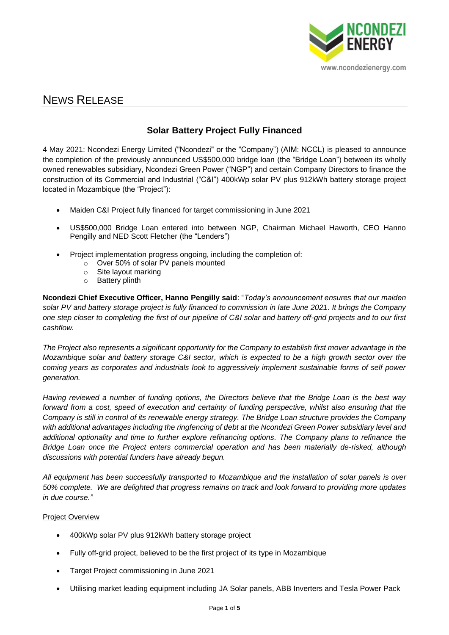

# NEWS RELEASE

## **Solar Battery Project Fully Financed**

4 May 2021: Ncondezi Energy Limited ("Ncondezi" or the "Company") (AIM: NCCL) is pleased to announce the completion of the previously announced US\$500,000 bridge loan (the "Bridge Loan") between its wholly owned renewables subsidiary, Ncondezi Green Power ("NGP") and certain Company Directors to finance the construction of its Commercial and Industrial ("C&I") 400kWp solar PV plus 912kWh battery storage project located in Mozambique (the "Project"):

- Maiden C&I Project fully financed for target commissioning in June 2021
- US\$500,000 Bridge Loan entered into between NGP, Chairman Michael Haworth, CEO Hanno Pengilly and NED Scott Fletcher (the "Lenders")
- Project implementation progress ongoing, including the completion of:
	- o Over 50% of solar PV panels mounted
	- o Site layout marking
	- o Battery plinth

**Ncondezi Chief Executive Officer, Hanno Pengilly said**: "*Today's announcement ensures that our maiden solar PV and battery storage project is fully financed to commission in late June 2021. It brings the Company one step closer to completing the first of our pipeline of C&I solar and battery off-grid projects and to our first cashflow.* 

*The Project also represents a significant opportunity for the Company to establish first mover advantage in the Mozambique solar and battery storage C&I sector, which is expected to be a high growth sector over the coming years as corporates and industrials look to aggressively implement sustainable forms of self power generation.* 

*Having reviewed a number of funding options, the Directors believe that the Bridge Loan is the best way forward from a cost, speed of execution and certainty of funding perspective, whilst also ensuring that the Company is still in control of its renewable energy strategy. The Bridge Loan structure provides the Company*  with additional advantages including the ringfencing of debt at the Ncondezi Green Power subsidiary level and *additional optionality and time to further explore refinancing options. The Company plans to refinance the Bridge Loan once the Project enters commercial operation and has been materially de-risked, although discussions with potential funders have already begun.* 

*All equipment has been successfully transported to Mozambique and the installation of solar panels is over 50% complete. We are delighted that progress remains on track and look forward to providing more updates in due course."*

### Project Overview

- 400kWp solar PV plus 912kWh battery storage project
- Fully off-grid project, believed to be the first project of its type in Mozambique
- Target Project commissioning in June 2021
- Utilising market leading equipment including JA Solar panels, ABB Inverters and Tesla Power Pack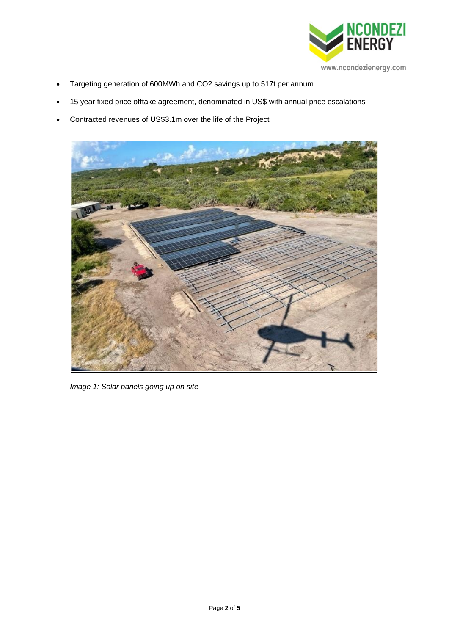

- Targeting generation of 600MWh and CO2 savings up to 517t per annum
- 15 year fixed price offtake agreement, denominated in US\$ with annual price escalations
- Contracted revenues of US\$3.1m over the life of the Project



*Image 1: Solar panels going up on site*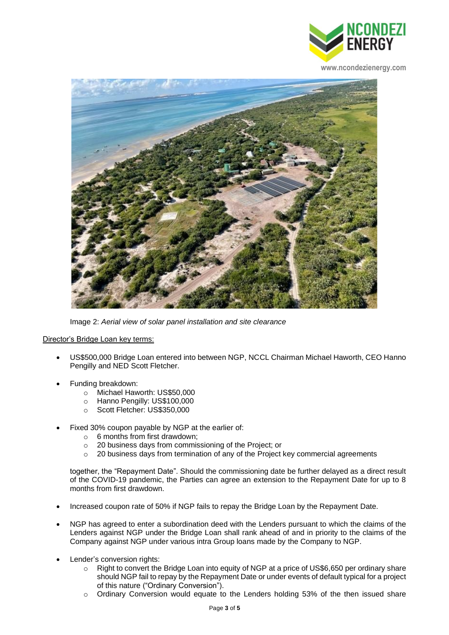

**www.ncondezienergy.com**



Image 2: *Aerial view of solar panel installation and site clearance*

### Director's Bridge Loan key terms:

- US\$500,000 Bridge Loan entered into between NGP, NCCL Chairman Michael Haworth, CEO Hanno Pengilly and NED Scott Fletcher.
- Funding breakdown:
	- o Michael Haworth: US\$50,000
	- o Hanno Pengilly: US\$100,000
	- o Scott Fletcher: US\$350,000
- Fixed 30% coupon payable by NGP at the earlier of:
	- $\circ$  6 months from first drawdown:
	- o 20 business days from commissioning of the Project; or
	- o 20 business days from termination of any of the Project key commercial agreements

together, the "Repayment Date". Should the commissioning date be further delayed as a direct result of the COVID-19 pandemic, the Parties can agree an extension to the Repayment Date for up to 8 months from first drawdown.

- Increased coupon rate of 50% if NGP fails to repay the Bridge Loan by the Repayment Date.
- NGP has agreed to enter a subordination deed with the Lenders pursuant to which the claims of the Lenders against NGP under the Bridge Loan shall rank ahead of and in priority to the claims of the Company against NGP under various intra Group loans made by the Company to NGP.
- Lender's conversion rights:
	- o Right to convert the Bridge Loan into equity of NGP at a price of US\$6,650 per ordinary share should NGP fail to repay by the Repayment Date or under events of default typical for a project of this nature ("Ordinary Conversion").
	- $\circ$  Ordinary Conversion would equate to the Lenders holding 53% of the then issued share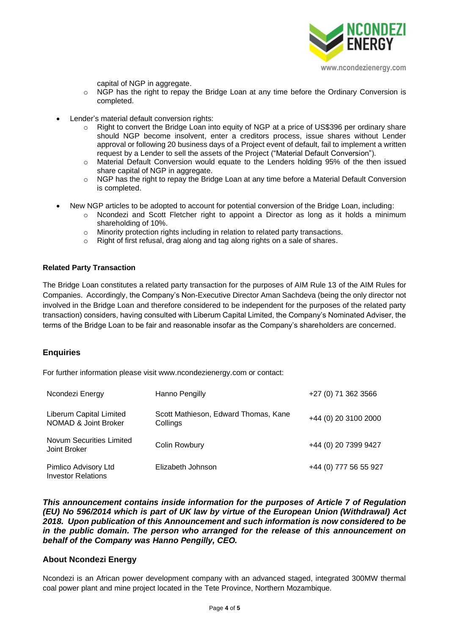

capital of NGP in aggregate.

- $\circ$  NGP has the right to repay the Bridge Loan at any time before the Ordinary Conversion is completed.
- Lender's material default conversion rights:
	- o Right to convert the Bridge Loan into equity of NGP at a price of US\$396 per ordinary share should NGP become insolvent, enter a creditors process, issue shares without Lender approval or following 20 business days of a Project event of default, fail to implement a written request by a Lender to sell the assets of the Project ("Material Default Conversion").
	- o Material Default Conversion would equate to the Lenders holding 95% of the then issued share capital of NGP in aggregate.
	- $\circ$  NGP has the right to repay the Bridge Loan at any time before a Material Default Conversion is completed.
- New NGP articles to be adopted to account for potential conversion of the Bridge Loan, including:
	- o Ncondezi and Scott Fletcher right to appoint a Director as long as it holds a minimum shareholding of 10%.
	- o Minority protection rights including in relation to related party transactions.
	- o Right of first refusal, drag along and tag along rights on a sale of shares.

### **Related Party Transaction**

The Bridge Loan constitutes a related party transaction for the purposes of AIM Rule 13 of the AIM Rules for Companies. Accordingly, the Company's Non-Executive Director Aman Sachdeva (being the only director not involved in the Bridge Loan and therefore considered to be independent for the purposes of the related party transaction) considers, having consulted with Liberum Capital Limited, the Company's Nominated Adviser, the terms of the Bridge Loan to be fair and reasonable insofar as the Company's shareholders are concerned.

### **Enquiries**

For further information please visit www.ncondezienergy.com or contact:

| Ncondezi Energy                                   | Hanno Pengilly                                   | +27 (0) 71 362 3566   |
|---------------------------------------------------|--------------------------------------------------|-----------------------|
| Liberum Capital Limited<br>NOMAD & Joint Broker   | Scott Mathieson, Edward Thomas, Kane<br>Collings | +44 (0) 20 3100 2000  |
| <b>Novum Securities Limited</b><br>Joint Broker   | Colin Rowbury                                    | +44 (0) 20 7399 9427  |
| Pimlico Advisory Ltd<br><b>Investor Relations</b> | Elizabeth Johnson                                | +44 (0) 777 56 55 927 |

*This announcement contains inside information for the purposes of Article 7 of Regulation (EU) No 596/2014 which is part of UK law by virtue of the European Union (Withdrawal) Act 2018. Upon publication of this Announcement and such information is now considered to be in the public domain. The person who arranged for the release of this announcement on behalf of the Company was Hanno Pengilly, CEO.*

### **About Ncondezi Energy**

Ncondezi is an African power development company with an advanced staged, integrated 300MW thermal coal power plant and mine project located in the Tete Province, Northern Mozambique.